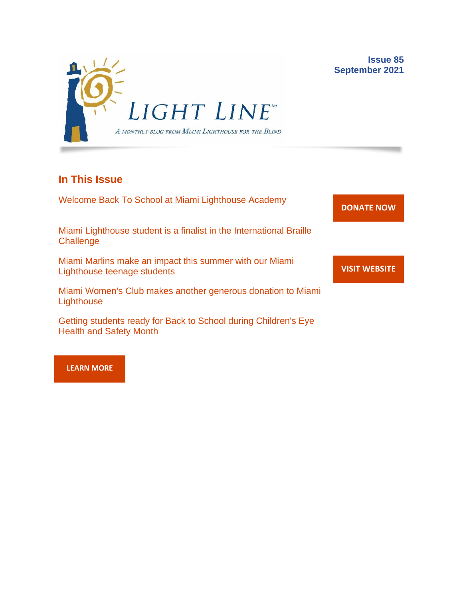

## **In This Issue**

Welcome Back To School at Miami Lighthouse Academy

Miami Lighthouse student is a finalist in the International Braille **Challenge** 

Miami Marlins make an impact this summer with our Miami Lighthouse teenage students

Miami Women's Club makes another generous donation to Miami **Lighthouse** 

Getting students ready for Back to School during Children's Eye Health and Safety Month

**[DONATE](http://r20.rs6.net/tn.jsp?f=001gO2GdS4FPEo240mg91k3c6HYN6ozMk69i8vrHipkUVt0nirc6iRjFsnZMWQfGpPyX5jA608dzGsffulXhDWN87JpF0RNMOsrEiEcR9KIVEjaVePiHS9eny3wE9Zh3DibFuDj7zvtMQCXwVbtALXi3_cnEJaT8XURz8jTt9N4yGe0rF3VoM8Y5mGhwRavYQ9CBe_fM4GbcQM=&c=A5xWHdmKDISdqoVssYAkMfhtdAlzuVskAHp3ASewWzRv5OnB7XubeA==&ch=KFi9wV6k5Z13Ef8Qia4fM-L584mfsNs0RWKjkNv-Bombmn4mZKg5Lw==) NOW**

**Issue 85**

**September 2021**

**VISIT [WEBSITE](http://r20.rs6.net/tn.jsp?f=001gO2GdS4FPEo240mg91k3c6HYN6ozMk69i8vrHipkUVt0nirc6iRjFp5OLUPp5xz8iJ7cM7NxB4ho-pmJZegg-UUCCff2BfEg0hVFNWmithw5L76cpbdpMlw1ZgIRlQC6OwIp0zOZvc1jcAvQYtup6ODb3HvWFX4_CFaBZinytweEHJSIK44w1g==&c=A5xWHdmKDISdqoVssYAkMfhtdAlzuVskAHp3ASewWzRv5OnB7XubeA==&ch=KFi9wV6k5Z13Ef8Qia4fM-L584mfsNs0RWKjkNv-Bombmn4mZKg5Lw==)**

**[LEARN MORE](http://www.miamilighthouse.org)**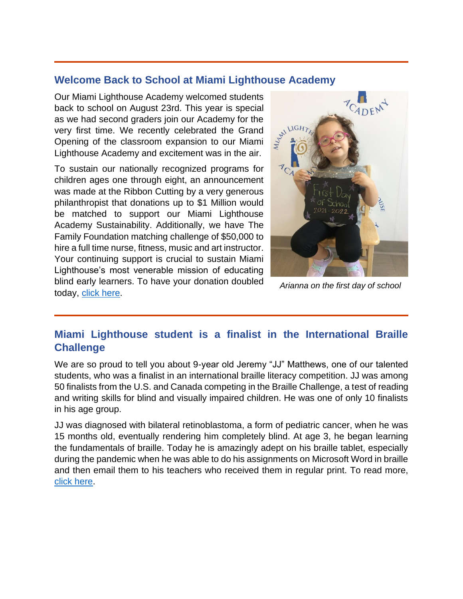#### **Welcome Back to School at Miami Lighthouse Academy**

Our Miami Lighthouse Academy welcomed students back to school on August 23rd. This year is special as we had second graders join our Academy for the very first time. We recently celebrated the Grand Opening of the classroom expansion to our Miami Lighthouse Academy and excitement was in the air.

To sustain our nationally recognized programs for children ages one through eight, an announcement was made at the Ribbon Cutting by a very generous philanthropist that donations up to \$1 Million would be matched to support our Miami Lighthouse Academy Sustainability. Additionally, we have The Family Foundation matching challenge of \$50,000 to hire a full time nurse, fitness, music and art instructor. Your continuing support is crucial to sustain Miami Lighthouse's most venerable mission of educating blind early learners. To have your donation doubled today, [click here.](https://secure.miamilighthouse.org/Donations.asp)



*Arianna on the first day of school*

# **Miami Lighthouse student is a finalist in the International Braille Challenge**

We are so proud to tell you about 9-year old Jeremy "JJ" Matthews, one of our talented students, who was a finalist in an international braille literacy competition. JJ was among 50 finalists from the U.S. and Canada competing in the Braille Challenge, a test of reading and writing skills for blind and visually impaired children. He was one of only 10 finalists in his age group.

JJ was diagnosed with bilateral retinoblastoma, a form of pediatric cancer, when he was 15 months old, eventually rendering him completely blind. At age 3, he began learning the fundamentals of braille. Today he is amazingly adept on his braille tablet, especially during the pandemic when he was able to do his assignments on Microsoft Word in braille and then email them to his teachers who received them in regular print. To read more, [click here.](https://www.wlrn.org/news/2021-07-26/this-miami-9-year-old-excels-behind-his-braille-keyboard)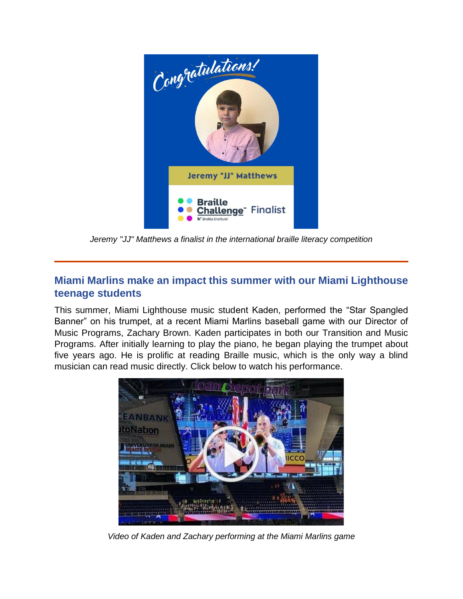

*Jeremy "JJ" Matthews a finalist in the international braille literacy competition*

# **Miami Marlins make an impact this summer with our Miami Lighthouse teenage students**

This summer, Miami Lighthouse music student Kaden, performed the "Star Spangled Banner" on his trumpet, at a recent Miami Marlins baseball game with our Director of Music Programs, Zachary Brown. Kaden participates in both our Transition and Music Programs. After initially learning to play the piano, he began playing the trumpet about five years ago. He is prolific at reading Braille music, which is the only way a blind musician can read music directly. Click below to watch his performance.



*Video of Kaden and Zachary performing at the Miami Marlins game*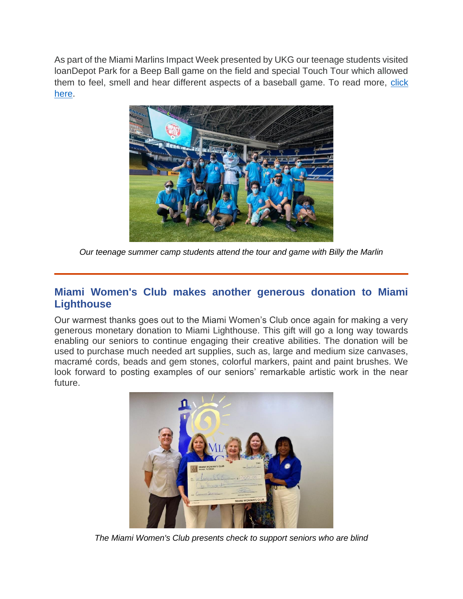As part of the Miami Marlins Impact Week presented by UKG our teenage students visited loanDepot Park for a Beep Ball game on the field and special Touch Tour which allowed them to feel, smell and hear different aspects of a baseball game. To read more, click [here.](https://www.mlb.com/press-release/press-release-miami-marlins-miami-marlins-foundation-continue-impact-week)



*Our teenage summer camp students attend the tour and game with Billy the Marlin*

## **Miami Women's Club makes another generous donation to Miami Lighthouse**

Our warmest thanks goes out to the Miami Women's Club once again for making a very generous monetary donation to Miami Lighthouse. This gift will go a long way towards enabling our seniors to continue engaging their creative abilities. The donation will be used to purchase much needed art supplies, such as, large and medium size canvases, macramé cords, beads and gem stones, colorful markers, paint and paint brushes. We look forward to posting examples of our seniors' remarkable artistic work in the near future.



*The Miami Women's Club presents check to support seniors who are blind*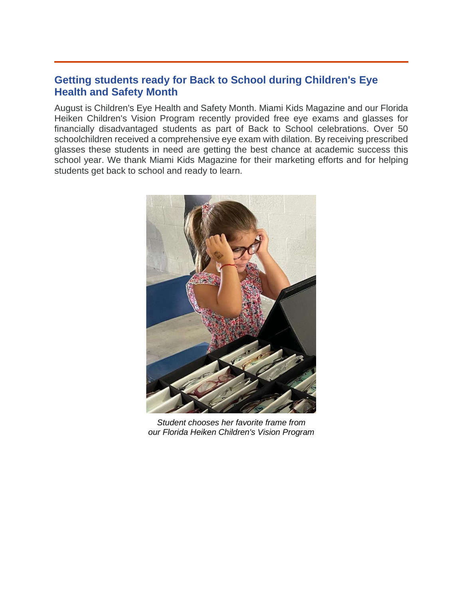#### **Getting students ready for Back to School during Children's Eye Health and Safety Month**

August is Children's Eye Health and Safety Month. Miami Kids Magazine and our Florida Heiken Children's Vision Program recently provided free eye exams and glasses for financially disadvantaged students as part of Back to School celebrations. Over 50 schoolchildren received a comprehensive eye exam with dilation. By receiving prescribed glasses these students in need are getting the best chance at academic success this school year. We thank Miami Kids Magazine for their marketing efforts and for helping students get back to school and ready to learn.



*Student chooses her favorite frame from our Florida Heiken Children's Vision Program*